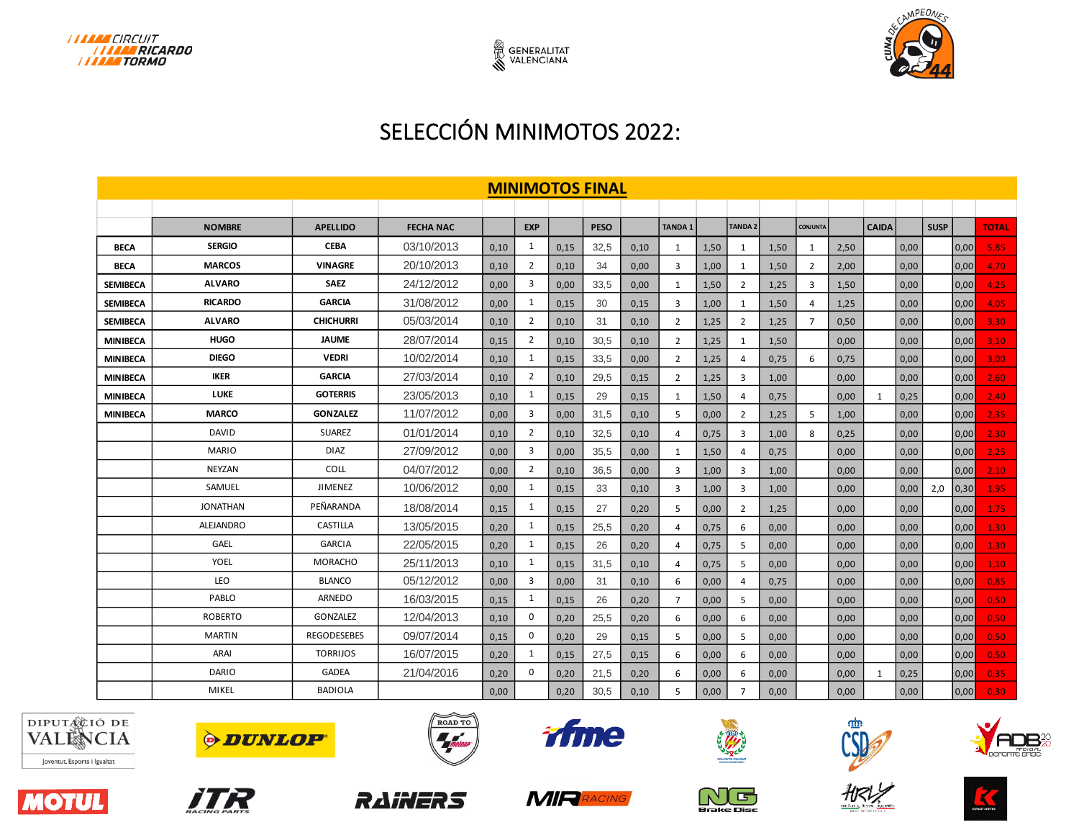



## SELECCIÓN MINIMOTOS 2022:

| <b>MINIMOTOS FINAL</b> |                  |                    |                  |      |                |      |             |      |                |      |                |      |                 |      |              |      |             |      |            |
|------------------------|------------------|--------------------|------------------|------|----------------|------|-------------|------|----------------|------|----------------|------|-----------------|------|--------------|------|-------------|------|------------|
|                        |                  |                    |                  |      |                |      |             |      |                |      |                |      |                 |      |              |      |             |      |            |
|                        | <b>NOMBRE</b>    | <b>APELLIDO</b>    | <b>FECHA NAC</b> |      | <b>EXP</b>     |      | <b>PESO</b> |      | <b>TANDA1</b>  |      | <b>TANDA2</b>  |      | <b>CONJUNTA</b> |      | <b>CAIDA</b> |      | <b>SUSP</b> |      | TOTAL      |
| <b>BECA</b>            | <b>SERGIO</b>    | <b>CEBA</b>        | 03/10/2013       | 0.10 | 1              | 0.15 | 32.5        | 0,10 | 1              | 1,50 | 1              | 1,50 | 1               | 2,50 |              | 0,00 |             | 0,00 | 5,85       |
| <b>BECA</b>            | <b>MARCOS</b>    | <b>VINAGRE</b>     | 20/10/2013       | 0,10 | 2              | 0.10 | 34          | 0,00 | 3              | 1,00 | 1              | 1,50 | $\overline{2}$  | 2,00 |              | 0,00 |             | 0,00 | 4,70       |
| <b>SEMIBECA</b>        | <b>ALVARO</b>    | <b>SAEZ</b>        | 24/12/2012       | 0.00 | 3              | 0,00 | 33,5        | 0,00 | 1              | 1,50 | $\overline{2}$ | 1,25 | 3               | 1,50 |              | 0,00 |             | 0,00 | 4,25       |
| <b>SEMIBECA</b>        | <b>RICARDO</b>   | <b>GARCIA</b>      | 31/08/2012       | 0,00 | 1              | 0,15 | 30          | 0,15 | 3              | 1,00 | 1              | 1,50 | 4               | 1,25 |              | 0,00 |             | 0,00 | 4,05       |
| <b>SEMIBECA</b>        | <b>ALVARO</b>    | <b>CHICHURRI</b>   | 05/03/2014       | 0,10 | $\overline{2}$ | 0,10 | 31          | 0,10 | $\overline{2}$ | 1,25 | $\overline{2}$ | 1,25 | $\overline{7}$  | 0,50 |              | 0,00 |             | 0,00 | 3,30       |
| <b>MINIBECA</b>        | <b>HUGO</b>      | <b>JAUME</b>       | 28/07/2014       | 0,15 | $\overline{2}$ | 0,10 | 30,5        | 0,10 | $\overline{2}$ | 1,25 | 1              | 1,50 |                 | 0,00 |              | 0,00 |             | 0,00 | 3,10       |
| <b>MINIBECA</b>        | <b>DIEGO</b>     | <b>VEDRI</b>       | 10/02/2014       | 0,10 | 1              | 0,15 | 33,5        | 0,00 | $\overline{2}$ | 1,25 | 4              | 0,75 | 6               | 0,75 |              | 0,00 |             | 0,00 | 3,00       |
| <b>MINIBECA</b>        | <b>IKER</b>      | <b>GARCIA</b>      | 27/03/2014       | 0,10 | $\overline{2}$ | 0,10 | 29,5        | 0,15 | $\overline{2}$ | 1,25 | 3              | 1,00 |                 | 0,00 |              | 0,00 |             | 0,00 | 2,60       |
| <b>MINIBECA</b>        | <b>LUKE</b>      | <b>GOTERRIS</b>    | 23/05/2013       | 0,10 | 1              | 0,15 | 29          | 0,15 | 1              | 1,50 | 4              | 0,75 |                 | 0,00 | 1            | 0,25 |             | 0,00 | 2,40       |
| <b>MINIBECA</b>        | <b>MARCO</b>     | <b>GONZALEZ</b>    | 11/07/2012       | 0.00 | 3              | 0,00 | 31,5        | 0,10 | 5              | 0,00 | $\overline{2}$ | 1,25 | 5               | 1,00 |              | 0,00 |             | 0,00 | 2,35       |
|                        | <b>DAVID</b>     | <b>SUAREZ</b>      | 01/01/2014       | 0.10 | $\overline{2}$ | 0,10 | 32,5        | 0,10 | $\overline{a}$ | 0,75 | 3              | 1,00 | 8               | 0,25 |              | 0,00 |             | 0,00 | 2,30       |
|                        | <b>MARIO</b>     | <b>DIAZ</b>        | 27/09/2012       | 0,00 | 3              | 0,00 | 35,5        | 0,00 | 1              | 1,50 | 4              | 0,75 |                 | 0,00 |              | 0,00 |             | 0,00 | 2,25       |
|                        | <b>NEYZAN</b>    | COLL               | 04/07/2012       | 0.00 | $\overline{2}$ | 0,10 | 36,5        | 0,00 | 3              | 1,00 | 3              | 1,00 |                 | 0,00 |              | 0,00 |             | 0,00 | 2,10       |
|                        | SAMUEL           | <b>JIMENEZ</b>     | 10/06/2012       | 0,00 | 1              | 0,15 | 33          | 0,10 | 3              | 1,00 | 3              | 1,00 |                 | 0,00 |              | 0,00 | 2,0         | 0,30 | 1,95       |
|                        | <b>JONATHAN</b>  | PEÑARANDA          | 18/08/2014       | 0.15 | $\mathbf{1}$   | 0.15 | 27          | 0,20 | 5              | 0,00 | $\overline{2}$ | 1,25 |                 | 0.00 |              | 0,00 |             | 0,00 | 1,75       |
|                        | <b>ALEJANDRO</b> | <b>CASTILLA</b>    | 13/05/2015       | 0,20 | 1              | 0,15 | 25,5        | 0,20 | $\overline{4}$ | 0,75 | 6              | 0,00 |                 | 0.00 |              | 0,00 |             | 0,00 | 1,30       |
|                        | <b>GAEL</b>      | <b>GARCIA</b>      | 22/05/2015       | 0.20 | $\mathbf{1}$   | 0,15 | 26          | 0,20 | $\overline{a}$ | 0,75 | 5              | 0,00 |                 | 0.00 |              | 0,00 |             | 0,00 | 1,30       |
|                        | <b>YOEL</b>      | <b>MORACHO</b>     | 25/11/2013       | 0,10 | 1              | 0,15 | 31.5        | 0,10 | $\overline{a}$ | 0,75 | 5              | 0,00 |                 | 0.00 |              | 0,00 |             | 0,00 | $1,10^{-}$ |
|                        | <b>LEO</b>       | <b>BLANCO</b>      | 05/12/2012       | 0,00 | 3              | 0,00 | 31          | 0,10 | 6              | 0,00 | 4              | 0,75 |                 | 0,00 |              | 0,00 |             | 0,00 | 0,85       |
|                        | PABLO            | ARNEDO             | 16/03/2015       | 0,15 | 1              | 0,15 | 26          | 0,20 | $\overline{7}$ | 0,00 | 5              | 0,00 |                 | 0,00 |              | 0,00 |             | 0,00 | 0,50       |
|                        | <b>ROBERTO</b>   | GONZALEZ           | 12/04/2013       | 0,10 | $\mathbf 0$    | 0,20 | 25,5        | 0,20 | 6              | 0,00 | 6              | 0,00 |                 | 0,00 |              | 0,00 |             | 0,00 | 0,50       |
|                        | <b>MARTIN</b>    | <b>REGODESEBES</b> | 09/07/2014       | 0,15 | $\mathbf 0$    | 0,20 | 29          | 0,15 | 5              | 0,00 | 5              | 0,00 |                 | 0,00 |              | 0,00 |             | 0,00 | 0,50       |
|                        | ARAI             | <b>TORRIJOS</b>    | 16/07/2015       | 0,20 | 1              | 0,15 | 27,5        | 0,15 | 6              | 0,00 | 6              | 0,00 |                 | 0,00 |              | 0,00 |             | 0,00 | 0,50       |
|                        | <b>DARIO</b>     | <b>GADEA</b>       | 21/04/2016       | 0,20 | $\mathbf 0$    | 0,20 | 21,5        | 0,20 | 6              | 0,00 | 6              | 0,00 |                 | 0,00 | 1            | 0,25 |             | 0,00 | 0,35       |
|                        | MIKEL            | <b>BADIOLA</b>     |                  | 0,00 |                | 0,20 | 30,5        | 0,10 | 5              | 0,00 | $\overline{7}$ | 0,00 |                 | 0,00 |              | 0,00 |             | 0,00 | 0,30       |